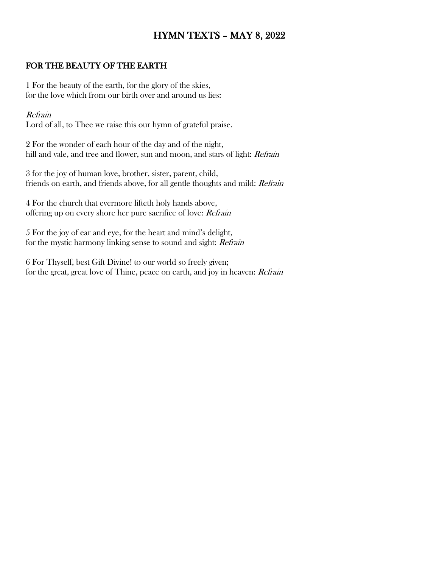# HYMN TEXTS – MAY 8, 2022

### FOR THE BEAUTY OF THE EARTH

1 For the beauty of the earth, for the glory of the skies, for the love which from our birth over and around us lies:

#### Refrain

Lord of all, to Thee we raise this our hymn of grateful praise.

2 For the wonder of each hour of the day and of the night, hill and vale, and tree and flower, sun and moon, and stars of light: Refrain

3 for the joy of human love, brother, sister, parent, child, friends on earth, and friends above, for all gentle thoughts and mild: Refrain

4 For the church that evermore lifteth holy hands above, offering up on every shore her pure sacrifice of love: Refrain

5 For the joy of ear and eye, for the heart and mind's delight, for the mystic harmony linking sense to sound and sight: Refrain

6 For Thyself, best Gift Divine! to our world so freely given; for the great, great love of Thine, peace on earth, and joy in heaven: Refrain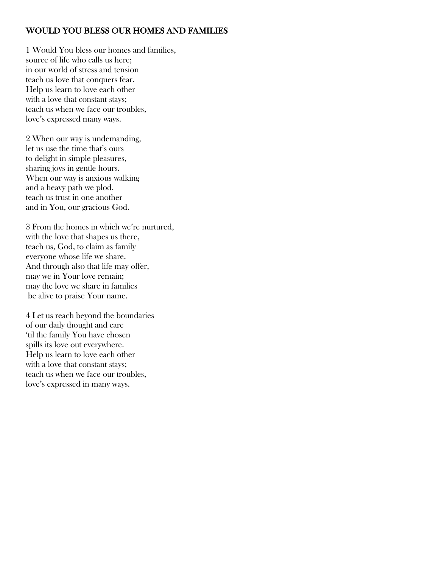## WOULD YOU BLESS OUR HOMES AND FAMILIES

1 Would You bless our homes and families, source of life who calls us here; in our world of stress and tension teach us love that conquers fear. Help us learn to love each other with a love that constant stays; teach us when we face our troubles, love's expressed many ways.

2 When our way is undemanding, let us use the time that's ours to delight in simple pleasures, sharing joys in gentle hours. When our way is anxious walking and a heavy path we plod, teach us trust in one another and in You, our gracious God.

3 From the homes in which we're nurtured, with the love that shapes us there, teach us, God, to claim as family everyone whose life we share. And through also that life may offer, may we in Your love remain; may the love we share in families be alive to praise Your name.

4 Let us reach beyond the boundaries of our daily thought and care 'til the family You have chosen spills its love out everywhere. Help us learn to love each other with a love that constant stays; teach us when we face our troubles, love's expressed in many ways.